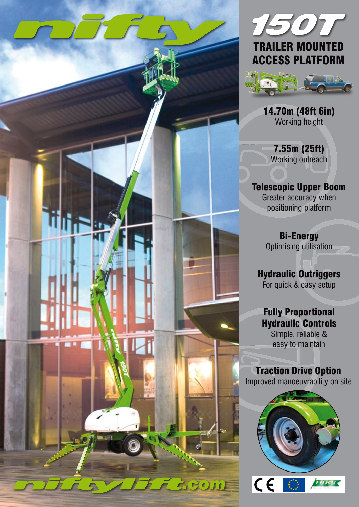





14.70m (48ft 6in) Working height

7.55m (25ft) Working outreach

Telescopic Upper Boom Greater accuracy when positioning platform

> Bi-Energy Optimising utilisation

Hydraulic Outriggers For quick & easy setup

## Fully Proportional Hydraulic Controls

Simple, reliable & easy to maintain

# Traction Drive Option

Improved manoeuvrability on site